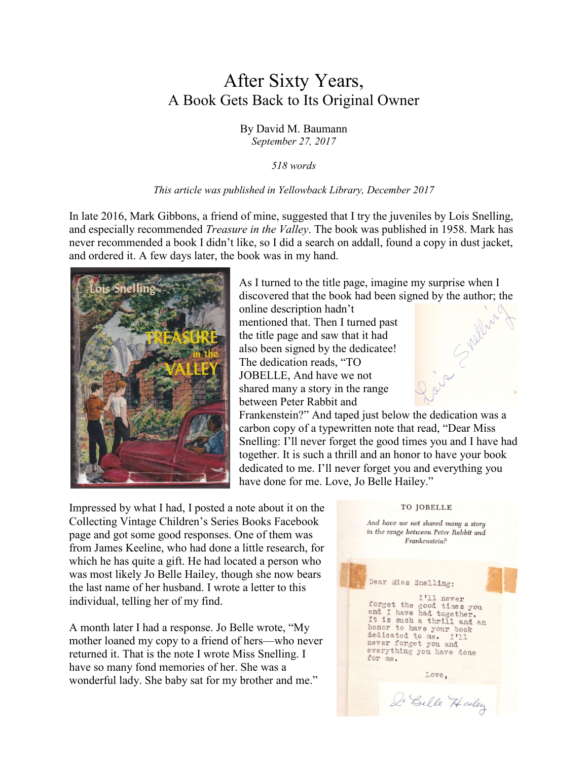## After Sixty Years, A Book Gets Back to Its Original Owner

By David M. Baumann *September 27, 2017*

*518 words*

## *This article was published in Yellowback Library, December 2017*

In late 2016, Mark Gibbons, a friend of mine, suggested that I try the juveniles by Lois Snelling, and especially recommended *Treasure in the Valley*. The book was published in 1958. Mark has never recommended a book I didn't like, so I did a search on addall, found a copy in dust jacket, and ordered it. A few days later, the book was in my hand.

between Peter Rabbit and



As I turned to the title page, imagine my surprise when I discovered that the book had been signed by the author; the online description hadn't mentioned that. Then I turned past the title page and saw that it had also been signed by the dedicatee! The dedication reads, "TO JOBELLE, And have we not shared many a story in the range



Frankenstein?" And taped just below the dedication was a carbon copy of a typewritten note that read, "Dear Miss Snelling: I'll never forget the good times you and I have had together. It is such a thrill and an honor to have your book dedicated to me. I'll never forget you and everything you have done for me. Love, Jo Belle Hailey."

Impressed by what I had, I posted a note about it on the Collecting Vintage Children's Series Books Facebook page and got some good responses. One of them was from James Keeline, who had done a little research, for which he has quite a gift. He had located a person who was most likely Jo Belle Hailey, though she now bears the last name of her husband. I wrote a letter to this individual, telling her of my find.

A month later I had a response. Jo Belle wrote, "My mother loaned my copy to a friend of hers—who never returned it. That is the note I wrote Miss Snelling. I have so many fond memories of her. She was a wonderful lady. She baby sat for my brother and me."